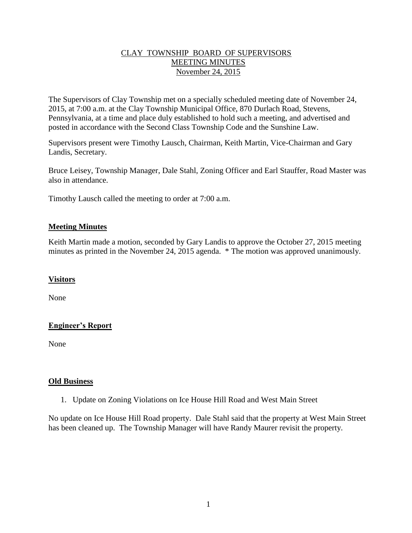## CLAY TOWNSHIP BOARD OF SUPERVISORS MEETING MINUTES November 24, 2015

The Supervisors of Clay Township met on a specially scheduled meeting date of November 24, 2015, at 7:00 a.m. at the Clay Township Municipal Office, 870 Durlach Road, Stevens, Pennsylvania, at a time and place duly established to hold such a meeting, and advertised and posted in accordance with the Second Class Township Code and the Sunshine Law.

Supervisors present were Timothy Lausch, Chairman, Keith Martin, Vice-Chairman and Gary Landis, Secretary.

Bruce Leisey, Township Manager, Dale Stahl, Zoning Officer and Earl Stauffer, Road Master was also in attendance.

Timothy Lausch called the meeting to order at 7:00 a.m.

## **Meeting Minutes**

Keith Martin made a motion, seconded by Gary Landis to approve the October 27, 2015 meeting minutes as printed in the November 24, 2015 agenda. \* The motion was approved unanimously.

#### **Visitors**

None

# **Engineer's Report**

None

#### **Old Business**

1. Update on Zoning Violations on Ice House Hill Road and West Main Street

No update on Ice House Hill Road property. Dale Stahl said that the property at West Main Street has been cleaned up. The Township Manager will have Randy Maurer revisit the property.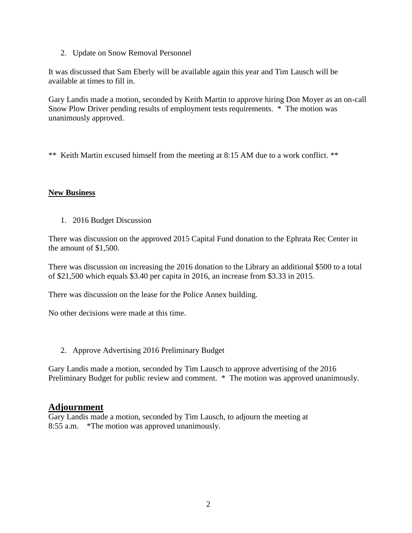2. Update on Snow Removal Personnel

It was discussed that Sam Eberly will be available again this year and Tim Lausch will be available at times to fill in.

Gary Landis made a motion, seconded by Keith Martin to approve hiring Don Moyer as an on-call Snow Plow Driver pending results of employment tests requirements. \* The motion was unanimously approved.

\*\* Keith Martin excused himself from the meeting at 8:15 AM due to a work conflict. \*\*

## **New Business**

1. 2016 Budget Discussion

There was discussion on the approved 2015 Capital Fund donation to the Ephrata Rec Center in the amount of \$1,500.

There was discussion on increasing the 2016 donation to the Library an additional \$500 to a total of \$21,500 which equals \$3.40 per capita in 2016, an increase from \$3.33 in 2015.

There was discussion on the lease for the Police Annex building.

No other decisions were made at this time.

2. Approve Advertising 2016 Preliminary Budget

Gary Landis made a motion, seconded by Tim Lausch to approve advertising of the 2016 Preliminary Budget for public review and comment. \* The motion was approved unanimously.

# **Adjournment**

Gary Landis made a motion, seconded by Tim Lausch, to adjourn the meeting at 8:55 a.m. \*The motion was approved unanimously.